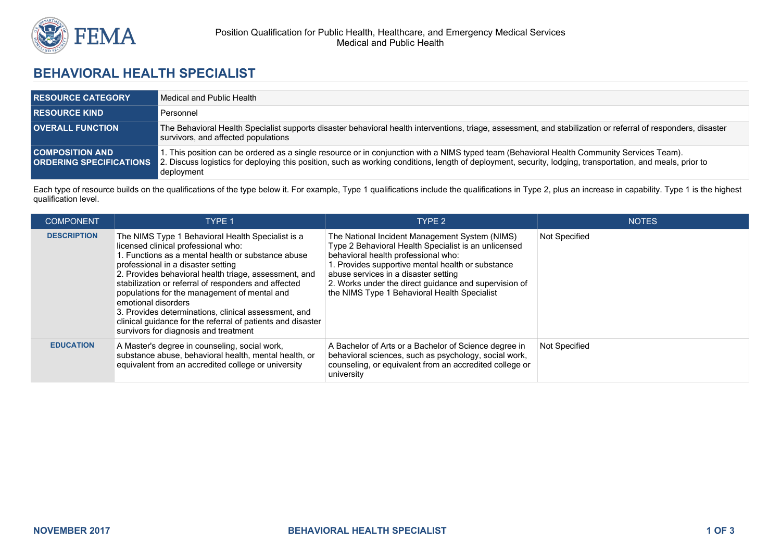

## **BEHAVIORAL HEALTH SPECIALIST**

| <b>RESOURCE CATEGORY</b>                                 | Medical and Public Health                                                                                                                                                                                                                                                                                             |
|----------------------------------------------------------|-----------------------------------------------------------------------------------------------------------------------------------------------------------------------------------------------------------------------------------------------------------------------------------------------------------------------|
| <b>RESOURCE KIND</b>                                     | Personnel                                                                                                                                                                                                                                                                                                             |
| <b>OVERALL FUNCTION</b>                                  | The Behavioral Health Specialist supports disaster behavioral health interventions, triage, assessment, and stabilization or referral of responders, disaster<br>survivors, and affected populations                                                                                                                  |
| <b>COMPOSITION AND</b><br><b>ORDERING SPECIFICATIONS</b> | . This position can be ordered as a single resource or in conjunction with a NIMS typed team (Behavioral Health Community Services Team).<br>2. Discuss logistics for deploying this position, such as working conditions, length of deployment, security, lodging, transportation, and meals, prior to<br>deployment |

Each type of resource builds on the qualifications of the type below it. For example, Type 1 qualifications include the qualifications in Type 2, plus an increase in capability. Type 1 is the highest qualification level.

| <b>COMPONENT</b>   | TYPE 1                                                                                                                                                                                                                                                                                                                                                                                                                                                                                                                                       | TYPE 2                                                                                                                                                                                                                                                                                                                                             | <b>NOTES</b>         |
|--------------------|----------------------------------------------------------------------------------------------------------------------------------------------------------------------------------------------------------------------------------------------------------------------------------------------------------------------------------------------------------------------------------------------------------------------------------------------------------------------------------------------------------------------------------------------|----------------------------------------------------------------------------------------------------------------------------------------------------------------------------------------------------------------------------------------------------------------------------------------------------------------------------------------------------|----------------------|
| <b>DESCRIPTION</b> | The NIMS Type 1 Behavioral Health Specialist is a<br>licensed clinical professional who:<br>1. Functions as a mental health or substance abuse<br>professional in a disaster setting<br>2. Provides behavioral health triage, assessment, and<br>stabilization or referral of responders and affected<br>populations for the management of mental and<br>emotional disorders<br>3. Provides determinations, clinical assessment, and<br>clinical quidance for the referral of patients and disaster<br>survivors for diagnosis and treatment | The National Incident Management System (NIMS)<br>Type 2 Behavioral Health Specialist is an unlicensed<br>behavioral health professional who:<br>. Provides supportive mental health or substance<br>abuse services in a disaster setting<br>2. Works under the direct guidance and supervision of<br>the NIMS Type 1 Behavioral Health Specialist | Not Specified        |
| <b>EDUCATION</b>   | A Master's degree in counseling, social work,<br>substance abuse, behavioral health, mental health, or<br>equivalent from an accredited college or university                                                                                                                                                                                                                                                                                                                                                                                | A Bachelor of Arts or a Bachelor of Science degree in<br>behavioral sciences, such as psychology, social work,<br>counseling, or equivalent from an accredited college or<br>university                                                                                                                                                            | <b>Not Specified</b> |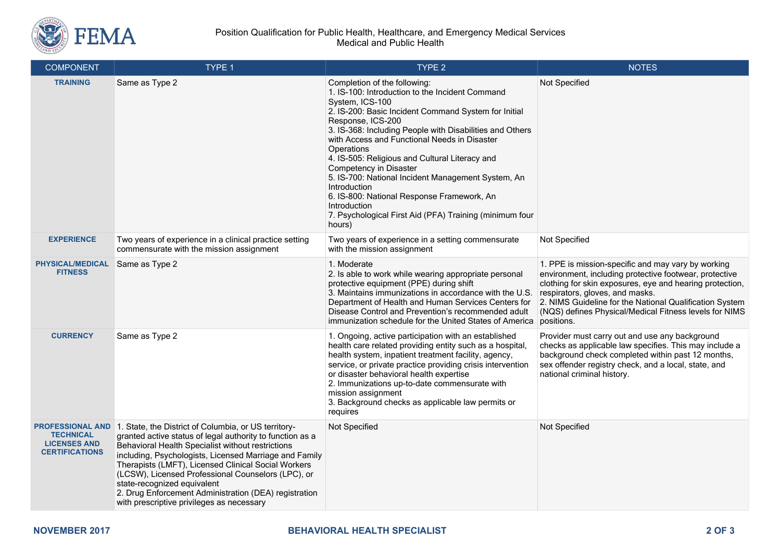

## Position Qualification for Public Health, Healthcare, and Emergency Medical Services Medical and Public Health

| <b>COMPONENT</b>                                                                            | TYPE 1                                                                                                                                                                                                                                                                                                                                                                                                                                                                             | TYPE 2                                                                                                                                                                                                                                                                                                                                                                                                                                                                                                                                                                                         | <b>NOTES</b>                                                                                                                                                                                                                                                                                                                                   |
|---------------------------------------------------------------------------------------------|------------------------------------------------------------------------------------------------------------------------------------------------------------------------------------------------------------------------------------------------------------------------------------------------------------------------------------------------------------------------------------------------------------------------------------------------------------------------------------|------------------------------------------------------------------------------------------------------------------------------------------------------------------------------------------------------------------------------------------------------------------------------------------------------------------------------------------------------------------------------------------------------------------------------------------------------------------------------------------------------------------------------------------------------------------------------------------------|------------------------------------------------------------------------------------------------------------------------------------------------------------------------------------------------------------------------------------------------------------------------------------------------------------------------------------------------|
| <b>TRAINING</b>                                                                             | Same as Type 2                                                                                                                                                                                                                                                                                                                                                                                                                                                                     | Completion of the following:<br>1. IS-100: Introduction to the Incident Command<br>System, ICS-100<br>2. IS-200: Basic Incident Command System for Initial<br>Response, ICS-200<br>3. IS-368: Including People with Disabilities and Others<br>with Access and Functional Needs in Disaster<br>Operations<br>4. IS-505: Religious and Cultural Literacy and<br>Competency in Disaster<br>5. IS-700: National Incident Management System, An<br>Introduction<br>6. IS-800: National Response Framework, An<br>Introduction<br>7. Psychological First Aid (PFA) Training (minimum four<br>hours) | Not Specified                                                                                                                                                                                                                                                                                                                                  |
| <b>EXPERIENCE</b>                                                                           | Two years of experience in a clinical practice setting<br>commensurate with the mission assignment                                                                                                                                                                                                                                                                                                                                                                                 | Two years of experience in a setting commensurate<br>with the mission assignment                                                                                                                                                                                                                                                                                                                                                                                                                                                                                                               | Not Specified                                                                                                                                                                                                                                                                                                                                  |
| <b>PHYSICAL/MEDICAL</b><br><b>FITNESS</b>                                                   | Same as Type 2                                                                                                                                                                                                                                                                                                                                                                                                                                                                     | 1. Moderate<br>2. Is able to work while wearing appropriate personal<br>protective equipment (PPE) during shift<br>3. Maintains immunizations in accordance with the U.S.<br>Department of Health and Human Services Centers for<br>Disease Control and Prevention's recommended adult<br>immunization schedule for the United States of America                                                                                                                                                                                                                                               | 1. PPE is mission-specific and may vary by working<br>environment, including protective footwear, protective<br>clothing for skin exposures, eye and hearing protection,<br>respirators, gloves, and masks.<br>2. NIMS Guideline for the National Qualification System<br>(NQS) defines Physical/Medical Fitness levels for NIMS<br>positions. |
| <b>CURRENCY</b>                                                                             | Same as Type 2                                                                                                                                                                                                                                                                                                                                                                                                                                                                     | 1. Ongoing, active participation with an established<br>health care related providing entity such as a hospital,<br>health system, inpatient treatment facility, agency,<br>service, or private practice providing crisis intervention<br>or disaster behavioral health expertise<br>2. Immunizations up-to-date commensurate with<br>mission assignment<br>3. Background checks as applicable law permits or<br>requires                                                                                                                                                                      | Provider must carry out and use any background<br>checks as applicable law specifies. This may include a<br>background check completed within past 12 months,<br>sex offender registry check, and a local, state, and<br>national criminal history.                                                                                            |
| <b>PROFESSIONAL AND</b><br><b>TECHNICAL</b><br><b>LICENSES AND</b><br><b>CERTIFICATIONS</b> | 1. State, the District of Columbia, or US territory-<br>granted active status of legal authority to function as a<br>Behavioral Health Specialist without restrictions<br>including, Psychologists, Licensed Marriage and Family<br>Therapists (LMFT), Licensed Clinical Social Workers<br>(LCSW), Licensed Professional Counselors (LPC), or<br>state-recognized equivalent<br>2. Drug Enforcement Administration (DEA) registration<br>with prescriptive privileges as necessary | Not Specified                                                                                                                                                                                                                                                                                                                                                                                                                                                                                                                                                                                  | Not Specified                                                                                                                                                                                                                                                                                                                                  |